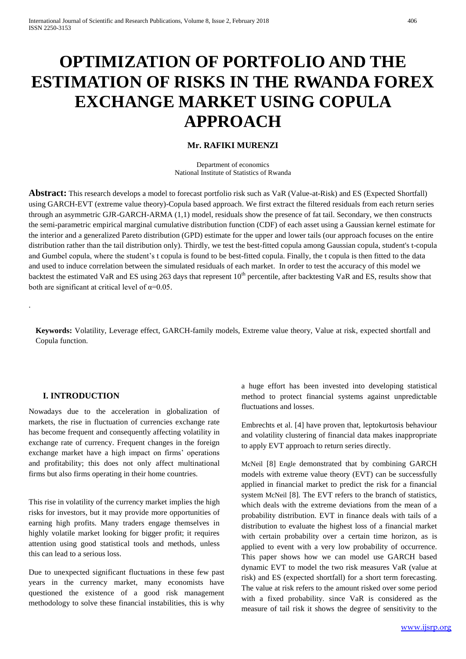# **OPTIMIZATION OF PORTFOLIO AND THE ESTIMATION OF RISKS IN THE RWANDA FOREX EXCHANGE MARKET USING COPULA APPROACH**

## **Mr. RAFIKI MURENZI**

Department of economics National Institute of Statistics of Rwanda

**Abstract:** This research develops a model to forecast portfolio risk such as VaR (Value-at-Risk) and ES (Expected Shortfall) using GARCH-EVT (extreme value theory)-Copula based approach. We first extract the filtered residuals from each return series through an asymmetric GJR-GARCH-ARMA (1,1) model, residuals show the presence of fat tail. Secondary, we then constructs the semi-parametric empirical marginal cumulative distribution function (CDF) of each asset using a Gaussian kernel estimate for the interior and a generalized Pareto distribution (GPD) estimate for the upper and lower tails (our approach focuses on the entire distribution rather than the tail distribution only). Thirdly, we test the best-fitted copula among Gaussian copula, student's t-copula and Gumbel copula, where the student's t copula is found to be best-fitted copula. Finally, the t copula is then fitted to the data and used to induce correlation between the simulated residuals of each market. In order to test the accuracy of this model we backtest the estimated VaR and ES using 263 days that represent  $10^{th}$  percentile, after backtesting VaR and ES, results show that both are significant at critical level of  $\alpha$ =0.05.

**Keywords:** Volatility, Leverage effect, GARCH-family models, Extreme value theory, Value at risk, expected shortfall and Copula function.

## **I. INTRODUCTION**

.

Nowadays due to the acceleration in globalization of markets, the rise in fluctuation of currencies exchange rate has become frequent and consequently affecting volatility in exchange rate of currency. Frequent changes in the foreign exchange market have a high impact on firms' operations and profitability; this does not only affect multinational firms but also firms operating in their home countries.

This rise in volatility of the currency market implies the high risks for investors, but it may provide more opportunities of earning high profits. Many traders engage themselves in highly volatile market looking for bigger profit; it requires attention using good statistical tools and methods, unless this can lead to a serious loss.

Due to unexpected significant fluctuations in these few past years in the currency market, many economists have questioned the existence of a good risk management methodology to solve these financial instabilities, this is why

a huge effort has been invested into developing statistical method to protect financial systems against unpredictable fluctuations and losses.

Embrechts et al. [4] have proven that, leptokurtosis behaviour and volatility clustering of financial data makes inappropriate to apply EVT approach to return series directly.

McNeil [8] Engle demonstrated that by combining GARCH models with extreme value theory (EVT) can be successfully applied in financial market to predict the risk for a financial system McNeil [8]. The EVT refers to the branch of statistics, which deals with the extreme deviations from the mean of a probability distribution. EVT in finance deals with tails of a distribution to evaluate the highest loss of a financial market with certain probability over a certain time horizon, as is applied to event with a very low probability of occurrence. This paper shows how we can model use GARCH based dynamic EVT to model the two risk measures VaR (value at risk) and ES (expected shortfall) for a short term forecasting. The value at risk refers to the amount risked over some period with a fixed probability. since VaR is considered as the measure of tail risk it shows the degree of sensitivity to the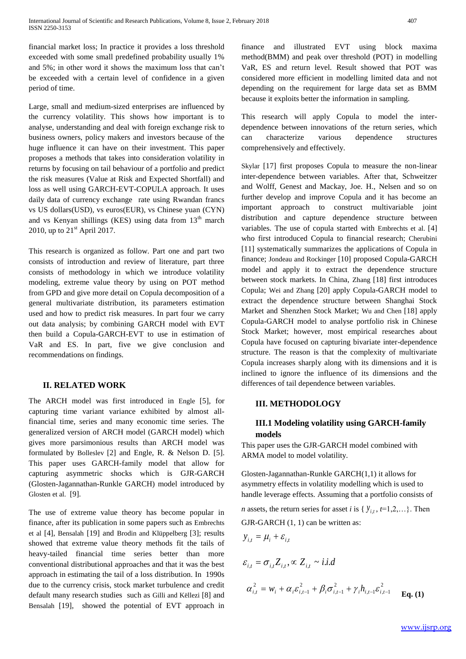financial market loss; In practice it provides a loss threshold exceeded with some small predefined probability usually 1% and 5%; in other word it shows the maximum loss that can't be exceeded with a certain level of confidence in a given period of time.

Large, small and medium-sized enterprises are influenced by the currency volatility. This shows how important is to analyse, understanding and deal with foreign exchange risk to business owners, policy makers and investors because of the huge influence it can have on their investment. This paper proposes a methods that takes into consideration volatility in returns by focusing on tail behaviour of a portfolio and predict the risk measures (Value at Risk and Expected Shortfall) and loss as well using GARCH-EVT-COPULA approach. It uses daily data of currency exchange rate using Rwandan francs vs US dollars(USD), vs euros(EUR), vs Chinese yuan (CYN) and vs Kenyan shillings (KES) using data from  $13<sup>th</sup>$  march 2010, up to  $21<sup>st</sup>$  April 2017.

This research is organized as follow. Part one and part two consists of introduction and review of literature, part three consists of methodology in which we introduce volatility modeling, extreme value theory by using on POT method from GPD and give more detail on Copula decomposition of a general multivariate distribution, its parameters estimation used and how to predict risk measures. In part four we carry out data analysis; by combining GARCH model with EVT then build a Copula-GARCH-EVT to use in estimation of VaR and ES. In part, five we give conclusion and recommendations on findings.

## **II. RELATED WORK**

The ARCH model was first introduced in Engle [5], for capturing time variant variance exhibited by almost allfinancial time, series and many economic time series. The generalized version of ARCH model (GARCH model) which gives more parsimonious results than ARCH model was formulated by Bolleslev [2] and Engle, R. & Nelson D. [5]. This paper uses GARCH-family model that allow for capturing asymmetric shocks which is GJR-GARCH (Glosten-Jagannathan-Runkle GARCH) model introduced by Glosten et al. [9].

The use of extreme value theory has become popular in finance, after its publication in some papers such as Embrechts et al [4], Bensalah [19] and Brodin and Klüppelberg [3]; results showed that extreme value theory methods fit the tails of heavy-tailed financial time series better than more conventional distributional approaches and that it was the best approach in estimating the tail of a loss distribution. In 1990s due to the currency crisis, stock market turbulence and credit default many research studies such as Gilli and Këllezi [8] and Bensalah [19], showed the potential of EVT approach in finance and illustrated EVT using block maxima method(BMM) and peak over threshold (POT) in modelling VaR, ES and return level. Result showed that POT was considered more efficient in modelling limited data and not depending on the requirement for large data set as BMM because it exploits better the information in sampling.

This research will apply Copula to model the interdependence between innovations of the return series, which can characterize various dependence structures comprehensively and effectively.

Skylar [17] first proposes Copula to measure the non-linear inter-dependence between variables. After that, Schweitzer and Wolff, Genest and Mackay, Joe. H., Nelsen and so on further develop and improve Copula and it has become an important approach to construct multivariable joint distribution and capture dependence structure between variables. The use of copula started with Embrechts et al. [4] who first introduced Copula to financial research; Cherubini [11] systematically summarizes the applications of Copula in finance; Jondeau and Rockinger [10] proposed Copula-GARCH model and apply it to extract the dependence structure between stock markets. In China, Zhang [18] first introduces Copula; Wei and Zhang [20] apply Copula-GARCH model to extract the dependence structure between Shanghai Stock Market and Shenzhen Stock Market; Wu and Chen [18] apply Copula-GARCH model to analyse portfolio risk in Chinese Stock Market; however, most empirical researches about Copula have focused on capturing bivariate inter-dependence structure. The reason is that the complexity of multivariate Copula increases sharply along with its dimensions and it is inclined to ignore the influence of its dimensions and the differences of tail dependence between variables.

## **III. METHODOLOGY**

 $y_{i,t} = \mu_i + \varepsilon_{i,t}$ 

# **III.1 Modeling volatility using GARCH-family models**

This paper uses the GJR-GARCH model combined with ARMA model to model volatility.

Glosten-Jagannathan-Runkle GARCH(1,1) it allows for asymmetry effects in volatility modelling which is used to handle leverage effects. Assuming that a portfolio consists of

*n* assets, the return series for asset *i* is { $y_{i,t}$ ,  $t=1,2,...$ }. Then GJR-GARCH (1, 1) can be written as:

$$
\varepsilon_{i,t} = \sigma_{i,t} Z_{i,t}, \propto Z_{i,t} \sim i.i.d
$$
  

$$
\alpha_{i,t}^2 = w_i + \alpha_i \varepsilon_{i,t-1}^2 + \beta_i \sigma_{i,t-1}^2 + \gamma_i h_{i,t-1} \varepsilon_{i,t-1}^2
$$
 Eq. (1)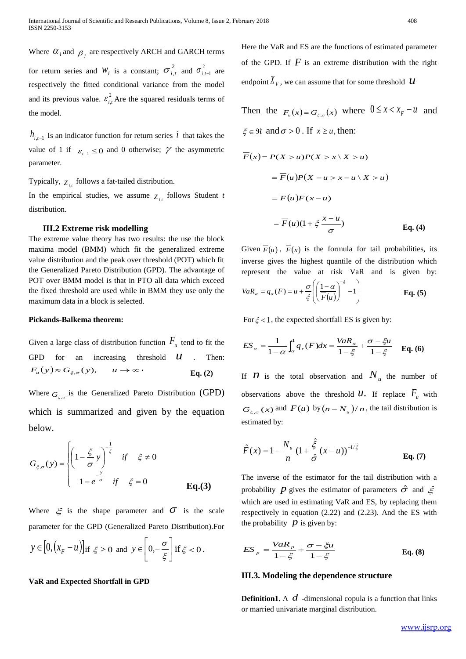Where  $\alpha_i$  and  $\beta_j$  are respectively ARCH and GARCH terms for return series and  $W_i$  is a constant;  $\sigma_{i,t}^2$  and  $\sigma_{i,t-1}^2$  are respectively the fitted conditional variance from the model and its previous value.  $\varepsilon_i^2$  $\varepsilon_{i,t}^2$  Are the squared residuals terms of the model.

 $h_{i,t-1}$  Is an indicator function for return series  $i$  that takes the value of 1 if  $\varepsilon_{t-1} \le 0$  and 0 otherwise;  $\gamma$  the asymmetric parameter.

Typically,  $Z_{i,t}$  follows a fat-tailed distribution.

In the empirical studies, we assume  $Z_{i,t}$  follows Student *t* distribution.

### **III.2 Extreme risk modelling**

The extreme value theory has two results: the use the block maxima model (BMM) which fit the generalized extreme value distribution and the peak over threshold (POT) which fit the Generalized Pareto Distribution (GPD). The advantage of POT over BMM model is that in PTO all data which exceed the fixed threshold are used while in BMM they use only the maximum data in a block is selected.

#### **Pickands-Balkema theorem:**

Given a large class of distribution function  $F_u$  tend to fit the GPD for an increasing threshold *U* . Then:  $F_u(y) \approx G_{\xi,\sigma}$  $u \rightarrow \infty$  **Eq.** (2)

Where  $G_{\xi,\sigma}$  is the Generalized Pareto Distribution (GPD) which is summarized and given by the equation below.

$$
G_{\xi,\sigma}(y) = \begin{cases} \left(1 - \frac{\xi}{\sigma} y\right)^{-\frac{1}{\xi}} & \text{if } \xi \neq 0\\ 1 - e^{-\frac{y}{\sigma}} & \text{if } \xi = 0 \end{cases}
$$
 Eq.(3)

Where  $\xi$  is the shape parameter and  $\sigma$  is the scale parameter for the GPD (Generalized Pareto Distribution).For

$$
y \in [0, (x_F - u)]
$$
 if  $\xi \ge 0$  and  $y \in \left[0, -\frac{\sigma}{\xi}\right]$  if  $\xi < 0$ .

#### **VaR and Expected Shortfall in GPD**

Here the VaR and ES are the functions of estimated parameter of the GPD. If  $F$  is an extreme distribution with the right endpoint  $\hat{X}_F$ , we can assume that for some threshold  $\hat{U}$ 

Then the  $F_u(x) = G_{\xi, \sigma}(x)$  where  $0 \le x \le x_F - u$  and  $\xi \in \mathfrak{R}$  and  $\sigma > 0$ . If  $x \ge u$ , then:  $\overline{F}(x) = P(X > u)P(X > x \mid X > u)$ 

$$
F(x) = F(u)P(X - u > x - u \mid X > u)
$$
  
=  $F(u)F(x - u)$   
=  $F(u)(1 + \xi \frac{x - u}{\sigma})$  Eq. (4)

Given  $\overline{F}(u)$ ,  $\overline{F}(x)$  is the formula for tail probabilities, its inverse gives the highest quantile of the distribution which represent the value at risk VaR and is given by:

$$
VaR_{\alpha} = q_{\alpha}(F) = u + \frac{\sigma}{\xi} \left( \left( \frac{1 - \alpha}{\overline{F}(u)} \right)^{-\xi} - 1 \right)
$$
 Eq. (5)

For  $\xi$  < 1, the expected shortfall ES is given by:

$$
ES_{\alpha} = \frac{1}{1-\alpha} \int_{\alpha}^{1} q_{x}(F) dx = \frac{VaR_{\alpha}}{1-\xi} + \frac{\sigma - \xi u}{1-\xi} \quad \text{Eq. (6)}
$$

If  $\boldsymbol{n}$  is the total observation and  $N_u$  the number of observations above the threshold  $U$ . If replace  $F_u$  with  $G_{\xi,\sigma}(x)$  and  $F(u)$  by  $(n - N_u)/n$ , the tail distribution is estimated by:

$$
\hat{F}(x) = 1 - \frac{N_u}{n} (1 + \frac{\hat{\xi}}{\hat{\sigma}} (x - u))^{-1/\hat{\xi}} \qquad \text{Eq. (7)}
$$

The inverse of the estimator for the tail distribution with a probability *p* gives the estimator of parameters  $\hat{\sigma}$  and  $\hat{\epsilon}$ which are used in estimating VaR and ES, by replacing them respectively in equation (2.22) and (2.23). And the ES with the probability  $\overrightarrow{p}$  is given by:

$$
ES_{p} = \frac{VaR_{p}}{1-\xi} + \frac{\sigma - \xi u}{1-\xi}
$$
 Eq. (8)

#### **III.3. Modeling the dependence structure**

**Definition1.** A  $d$  -dimensional copula is a function that links or married univariate marginal distribution.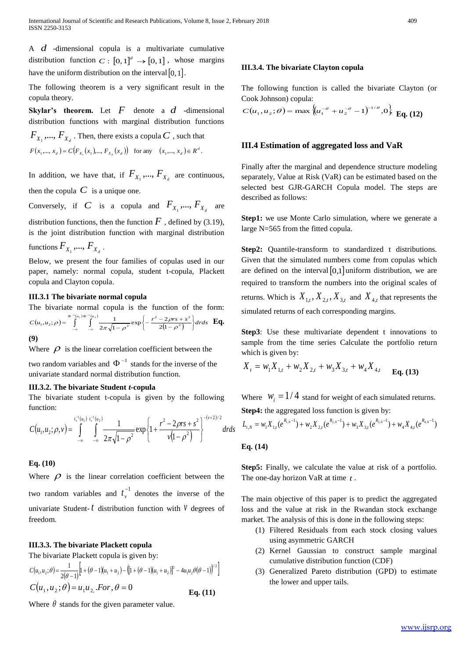A *d* -dimensional copula is a multivariate cumulative distribution function  $C: [0,1]^d \rightarrow [0,1]$ , whose margins have the uniform distribution on the interval  $[0,1]$ .

The following theorem is a very significant result in the copula theory.

**Skylar's theorem.** Let  $F$  denote a  $d$  -dimensional distribution functions with marginal distribution functions

 $F_{\overline{X}_1},...,F_{\overline{X}_d}$  . Then, there exists a copula  $C$  , such that  $F(x_1, ..., x_d) = C(F_{x_1}(x_1), ..., F_{x_d}(x_d))$  for any  $(x_1, ..., x_d) \in R^d$ .

In addition, we have that, if  $F_{X_1},..., F_{X_d}$  are continuous, then the copula  $C$  is a unique one.

Conversely, if C is a copula and  $F_{X_1},..., F_{X_d}$  are

distribution functions, then the function  $\ddot{F}$ , defined by (3.19), is the joint distribution function with marginal distribution functions  $F_{X_1}$ , ...,  $F_{X_d}$ .

Below, we present the four families of copulas used in our paper, namely: normal copula, student t-copula, Plackett copula and Clayton copula.

### **III.3.1 The bivariate normal copula**

The bivariate normal copula is the function of the form:  $(u_1, u_2; \rho) = \int_{0}^{\Phi^{-1}(u_1)\Phi^{-1}(u_2)}$  $C(u_1, u_2; \rho) = \int_{0}^{\phi^{-1}(u_1)\phi^{-1}(u_2)} \frac{1}{2\pi\sqrt{1-\rho^2}} \exp\left\{-\frac{r^2-2\rho rs+s^2}{2(1-\rho^2)}\right\} dr ds$  $\left. \begin{array}{c} \rule{0pt}{2ex} \rule{0pt}{2ex} \rule{0pt}{2ex} \rule{0pt}{2ex} \rule{0pt}{2ex} \rule{0pt}{2ex} \rule{0pt}{2ex} \rule{0pt}{2ex} \rule{0pt}{2ex} \rule{0pt}{2ex} \rule{0pt}{2ex} \rule{0pt}{2ex} \rule{0pt}{2ex} \rule{0pt}{2ex} \rule{0pt}{2ex} \rule{0pt}{2ex} \rule{0pt}{2ex} \rule{0pt}{2ex} \rule{0pt}{2ex} \rule{0pt}{2ex} \rule{0pt}{2ex} \rule{0pt}{2ex} \rule{0pt}{2ex} \rule{$  $\Biggl\{ .$  $\overline{a}$  $= \int_{-\infty}^{\Phi^{-1}(u_1)\Phi^{-1}(u_2)} \int_{-\infty}^{\Phi^{-1}(u_2)} \frac{1}{2\pi\sqrt{1-\rho^2}} \exp\left\{-\frac{r^2-2\rho rs+2}{(1-\rho^2)^2}\right\}$  $-\infty$ Ф  $\int_{-\infty}^{\infty} \frac{2\pi\sqrt{1-\rho^2}}{2(1-\rho^2)}$ 2  $2 \text{ cm} + \frac{2}{3}$  $\left[1, a_2, p\right] = \int_{-\infty}^{\infty} \frac{1}{2\pi\sqrt{1-p^2}} \exp\left\{-\frac{1}{2(1-p^2)}\right\}$  $\frac{1}{2\pi\sqrt{1-\rho^2}}\exp\left\{-\frac{r^2-2}{2(1-\rho^2)}\right\}$  $(u_1, u_2; \rho) = \int_{0}^{\Phi^{-1}(u_1)\Phi^{-1}(u_2)} \frac{1}{\sqrt{u_2}}$  $\rho$  $\rho$  $\rho = \int_{-\infty}^{\infty} \int_{-\infty}^{\infty} \frac{1}{2\pi\sqrt{1-\rho^2}} \exp\left\{-\frac{r^2-2\rho rs+s^2}{2(1-\rho^2)}\right\} dr ds \mathbf{Eq.}$ **(9)**

Where  $\rho$  is the linear correlation coefficient between the

two random variables and  $\Phi^{-1}$  stands for the inverse of the univariate standard normal distribution function.

#### **III.3.2. The bivariate Student** *t***-copula**

The bivariate student t-copula is given by the following function:

$$
C(u_1, u_2; \rho, v) = \int_{-\infty}^{t_v^{-1}(u_1)} \int_{-\infty}^{t_v^{-1}(u_2)} \frac{1}{2\pi\sqrt{1-\rho^2}} \exp\left\{1 + \frac{r^2 - 2\rho rs + s^2}{v(1-\rho^2)}\right\}^{-(v+2)/2} dr ds
$$

#### **Eq. (10)**

Where  $\rho$  is the linear correlation coefficient between the two random variables and  $t_v^{-1}$  $t_v^{-1}$  denotes the inverse of the univariate Student- $t$  distribution function with  $\nu$  degrees of freedom.

## **III.3.3. The bivariate Plackett copula**

The bivariate Plackett copula is given by:

$$
C(u_1, u_2; \theta) = \frac{1}{2(\theta - 1)} \Big[ 1 + (\theta - 1)(u_1 + u_2) - (\left[ 1 + (\theta - 1)(u_1 + u_2) \right]^2 - 4u_1u_2\theta(\theta - 1)\Big)^{1/2} \Big]
$$
  
\n
$$
C(u_1, u_2; \theta) = u_1u_2, \text{For } \theta = 0
$$
  
\n**Eq. (11)**

Where  $\theta$  stands for the given parameter value.

## **III.3.4. The bivariate Clayton copula**

The following function is called the bivariate Clayton (or Cook Johnson) copula:

$$
C(u_1, u_2; \theta) = \max \left\{ u_1^{-\theta} + u_2^{-\theta} - 1 \right\}^{-1/\theta}, 0 \right\} \mathbf{Eq. (12)}
$$

## **III.4 Estimation of aggregated loss and VaR**

Finally after the marginal and dependence structure modeling separately, Value at Risk (VaR) can be estimated based on the selected best GJR-GARCH Copula model. The steps are described as follows:

**Step1:** we use Monte Carlo simulation, where we generate a large N=565 from the fitted copula.

**Step2:** Quantile-transform to standardized t distributions. Given that the simulated numbers come from copulas which are defined on the interval  $[0,1]$  uniform distribution, we are required to transform the numbers into the original scales of returns. Which is  $X_{1,t}$ ,  $X_{2,t}$ ,  $X_{3,t}$  and  $X_{4,t}$  that represents the simulated returns of each corresponding margins.

**Step3**: Use these multivariate dependent t innovations to sample from the time series Calculate the portfolio return which is given by:

$$
X_{t} = w_{1}X_{1,t} + w_{2}X_{2,t} + w_{3}X_{3,t} + w_{4}X_{4,t}
$$
 Eq. (13)

Where  $W_i = 1/4$  stand for weight of each simulated returns. **Step4:** the aggregated loss function is given by:

$$
L_{t,N}=w_1X_{1,t}(e^{R_{1,N}-1})+w_2X_{2,t}(e^{R_{2,N}-1})+w_3X_{3,t}(e^{R_{3,N}-1})+w_4X_{4,t}(e^{R_{4,N}-1})
$$

#### **Eq. (14)**

**Step5:** Finally, we calculate the value at risk of a portfolio. The one-day horizon VaR at time *t* .

The main objective of this paper is to predict the aggregated loss and the value at risk in the Rwandan stock exchange market. The analysis of this is done in the following steps:

- (1) Filtered Residuals from each stock closing values using asymmetric GARCH
- (2) Kernel Gaussian to construct sample marginal cumulative distribution function (CDF)
- (3) Generalized Pareto distribution (GPD) to estimate the lower and upper tails.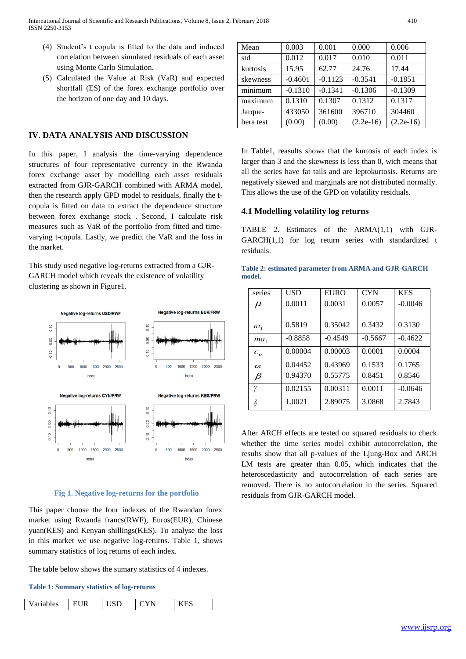- (4) Student's t copula is fitted to the data and induced correlation between simulated residuals of each asset using Monte Carlo Simulation.
- (5) Calculated the Value at Risk (VaR) and expected shortfall (ES) of the forex exchange portfolio over the horizon of one day and 10 days.

## **IV. DATA ANALYSIS AND DISCUSSION**

In this paper, I analysis the time-varying dependence structures of four representative currency in the Rwanda forex exchange asset by modelling each asset residuals extracted from GJR-GARCH combined with ARMA model, then the research apply GPD model to residuals, finally the tcopula is fitted on data to extract the dependence structure between forex exchange stock . Second, I calculate risk measures such as VaR of the portfolio from fitted and timevarying t-copula. Lastly, we predict the VaR and the loss in the market.

This study used negative log-returns extracted from a GJR-GARCH model which reveals the existence of volatility clustering as shown in Figure1.



#### **Fig 1. Negative log-returns for the portfolio**

This paper choose the four indexes of the Rwandan forex market using Rwanda francs(RWF), Euros(EUR), Chinese yuan(KES) and Kenyan shillings(KES). To analyse the loss in this market we use negative log-returns. Table 1, shows summary statistics of log returns of each index.

The table below shows the sumary statistics of 4 indexes.

#### **Table 1: Summary statistics of log-returns**

|  | Variables |  |  | VN |  |
|--|-----------|--|--|----|--|
|--|-----------|--|--|----|--|

| Mean      | 0.003     | 0.001     | 0.000       | 0.006       |
|-----------|-----------|-----------|-------------|-------------|
| std       | 0.012     | 0.017     | 0.010       | 0.011       |
| kurtosis  | 15.95     | 62.77     | 24.76       | 17.44       |
| skewness  | $-0.4601$ | $-0.1123$ | $-0.3541$   | $-0.1851$   |
| minimum   | $-0.1310$ | $-0.1341$ | $-0.1306$   | $-0.1309$   |
| maximum   | 0.1310    | 0.1307    | 0.1312      | 0.1317      |
| Jarque-   | 433050    | 361600    | 396710      | 304460      |
| bera test | (0.00)    | (0.00)    | $(2.2e-16)$ | $(2.2e-16)$ |

In Table1, reasults shows that the kurtosis of each index is larger than 3 and the skewness is less than 0, wich means that all the series have fat tails and are leptokurtosis. Returns are negatively skewed and marginals are not distributed normally. This allows the use of the GPD on volatility residuals.

## **4.1 Modelling volatility log returns**

TABLE 2. Estimates of the ARMA(1,1) with GJR-GARCH(1,1) for log return series with standardized t residuals.

|        | Table 2: estimated parameter from ARMA and GJR-GARCH |  |  |  |
|--------|------------------------------------------------------|--|--|--|
| model. |                                                      |  |  |  |

| series       | <b>USD</b> | <b>EURO</b> | <b>CYN</b> | <b>KES</b> |
|--------------|------------|-------------|------------|------------|
| $\mu$        | 0.0011     | 0.0031      | 0.0057     | $-0.0046$  |
|              |            |             |            |            |
| $ar_1$       | 0.5819     | 0.35042     | 0.3432     | 0.3130     |
| $ma_1$       | $-0.8858$  | $-0.4549$   | $-0.5667$  | $-0.4622$  |
| $c_{\alpha}$ | 0.00004    | 0.00003     | 0.0001     | 0.0004     |
| $\alpha$     | 0.04452    | 0.43969     | 0.1533     | 0.1765     |
| $\beta$      | 0.94370    | 0.55775     | 0.8451     | 0.8546     |
| γ            | 0.02155    | 0.00311     | 0.0011     | $-0.0646$  |
|              | 1.0021     | 2.89075     | 3.0868     | 2.7843     |

After ARCH effects are tested on squared residuals to check whether the time series model exhibit autocorrelation, the results show that all p-values of the Ljung-Box and ARCH LM tests are greater than 0.05, which indicates that the heteroscedasticity and autocorrelation of each series are removed. There is no autocorrelation in the series. Squared residuals from GJR-GARCH model.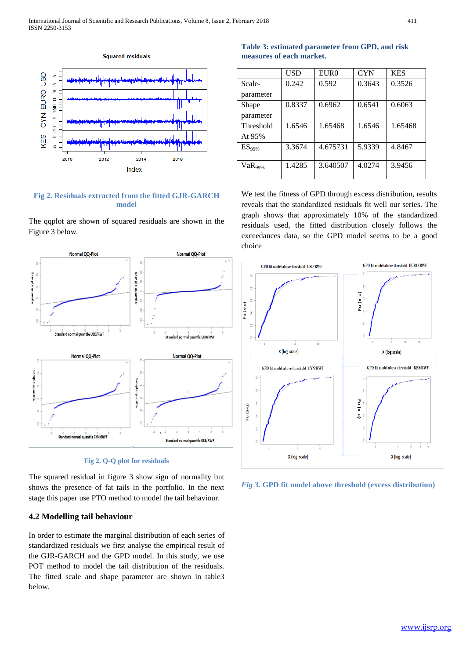

## **Fig 2. Residuals extracted from the fitted GJR-GARCH model**

The qqplot are shown of squared residuals are shown in the Figure 3 below.



**Fig 2. Q-Q plot for residuals**

The squared residual in figure 3 show sign of normality but shows the presence of fat tails in the portfolio. In the next stage this paper use PTO method to model the tail behaviour.

# **4.2 Modelling tail behaviour**

In order to estimate the marginal distribution of each series of standardized residuals we first analyse the empirical result of the GJR-GARCH and the GPD model. In this study, we use POT method to model the tail distribution of the residuals. The fitted scale and shape parameter are shown in table3 below.

**Table 3: estimated parameter from GPD, and risk measures of each market.**

|              | USD    | EUR <sub>0</sub> | <b>CYN</b> | <b>KES</b> |
|--------------|--------|------------------|------------|------------|
| Scale-       | 0.242  | 0.592            | 0.3643     | 0.3526     |
| parameter    |        |                  |            |            |
| Shape        | 0.8337 | 0.6962           | 0.6541     | 0.6063     |
| parameter    |        |                  |            |            |
| Threshold    | 1.6546 | 1.65468          | 1.6546     | 1.65468    |
| At 95%       |        |                  |            |            |
| $ES_{99\%}$  | 3.3674 | 4.675731         | 5.9339     | 4.8467     |
|              |        |                  |            |            |
| $VaR_{99\%}$ | 1.4285 | 3.640507         | 4.0274     | 3.9456     |
|              |        |                  |            |            |

We test the fitness of GPD through excess distribution, results reveals that the standardized residuals fit well our series. The graph shows that approximately 10% of the standardized residuals used, the fitted distribution closely follows the exceedances data, so the GPD model seems to be a good choice



*Fig 3.* **GPD fit model above threshold (excess distribution)**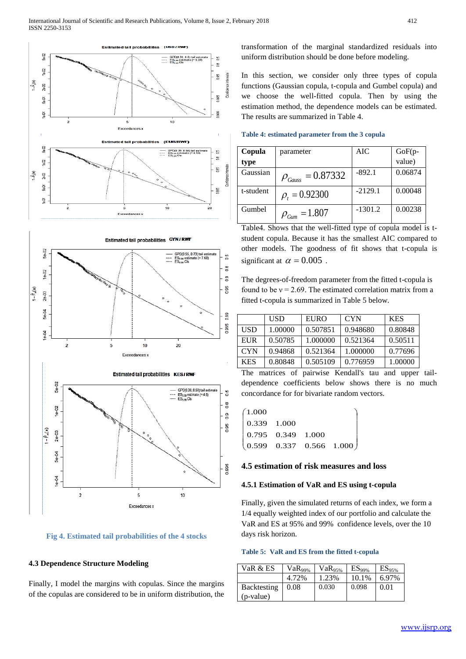





#### **4.3 Dependence Structure Modeling**

Finally, I model the margins with copulas. Since the margins of the copulas are considered to be in uniform distribution, the transformation of the marginal standardized residuals into uniform distribution should be done before modeling.

In this section, we consider only three types of copula functions (Gaussian copula, t-copula and Gumbel copula) and we choose the well-fitted copula. Then by using the estimation method, the dependence models can be estimated. The results are summarized in Table 4.

| Table 4: estimated parameter from the 3 copula |  |  |  |
|------------------------------------------------|--|--|--|
|------------------------------------------------|--|--|--|

| Copula    | parameter                | AIC       | GoF(p-<br>value) |
|-----------|--------------------------|-----------|------------------|
| type      |                          |           |                  |
| Gaussian  | $\rho_{Gauss} = 0.87332$ | $-892.1$  | 0.06874          |
| t-student | $\rho_t = 0.92300$       | $-2129.1$ | 0.00048          |
| Gumbel    | $\rho_{Gum} = 1.807$     | $-1301.2$ | 0.00238          |

Table4. Shows that the well-fitted type of copula model is tstudent copula. Because it has the smallest AIC compared to other models. The goodness of fit shows that t-copula is significant at  $\alpha = 0.005$ .

The degrees-of-freedom parameter from the fitted t-copula is found to be  $v = 2.69$ . The estimated correlation matrix from a fitted t-copula is summarized in Table 5 below.

|            | <b>USD</b> | <b>EURO</b> | <b>CYN</b> | <b>KES</b> |
|------------|------------|-------------|------------|------------|
| <b>USD</b> | 1.00000    | 0.507851    | 0.948680   | 0.80848    |
| EUR        | 0.50785    | 1.000000    | 0.521364   | 0.50511    |
| <b>CYN</b> | 0.94868    | 0.521364    | 1.000000   | 0.77696    |
| <b>KES</b> | 0.80848    | 0.505109    | 0.776959   | 1.00000    |

The matrices of pairwise Kendall's tau and upper taildependence coefficients below shows there is no much concordance for for bivariate random vectors.

| (1.000)     |                                                       |  |  |
|-------------|-------------------------------------------------------|--|--|
| 0.339 1.000 |                                                       |  |  |
|             | $\begin{array}{ l} 0.795 & 0.349 & 1.000 \end{array}$ |  |  |
|             | $(0.599 \t 0.337 \t 0.566 \t 1.000)$                  |  |  |

## **4.5 estimation of risk measures and loss**

#### **4.5.1 Estimation of VaR and ES using t-copula**

Finally, given the simulated returns of each index, we form a 1/4 equally weighted index of our portfolio and calculate the VaR and ES at 95% and 99% confidence levels, over the 10 days risk horizon.

#### **Table 5: VaR and ES from the fitted t-copula**

| VaR & ES           | VaR <sub>99%</sub> | $VaR_{95%}$ | $ES_{99\%}$ | $ES_{95\%}$ |
|--------------------|--------------------|-------------|-------------|-------------|
|                    | 4.72%              | 1.23%       | 10.1%       | 6.97%       |
| <b>Backtesting</b> | 0.08               | 0.030       | 0.098       | 0.01        |
| (p-value)          |                    |             |             |             |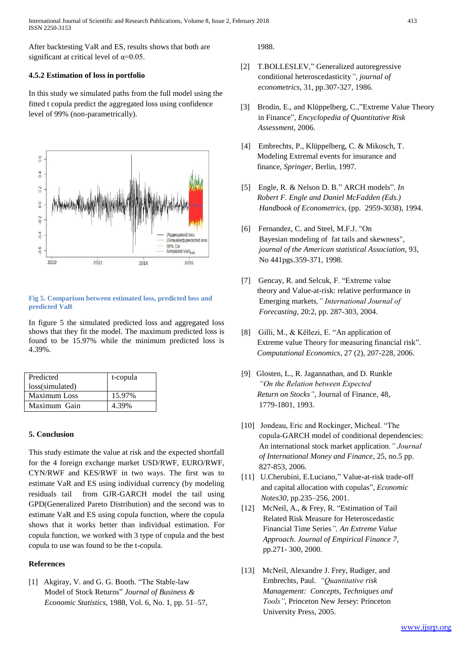International Journal of Scientific and Research Publications, Volume 8, Issue 2, February 2018 413 ISSN 2250-3153

After backtesting VaR and ES, results shows that both are significant at critical level of  $\alpha$ =0.05.

## **4.5.2 Estimation of loss in portfolio**

In this study we simulated paths from the full model using the fitted t copula predict the aggregated loss using confidence level of 99% (non-parametrically).



#### **Fig 5. Comparison between estimated loss, predicted loss and predicted VaR**

In figure 5 the simulated predicted loss and aggregated loss shows that they fit the model. The maximum predicted loss is found to be 15.97% while the minimum predicted loss is 4.39%.

| Predicted<br>loss(simulated) | t-copula |
|------------------------------|----------|
| Maximum Loss                 | 15.97%   |
| Maximum Gain                 | 4.39%    |

## **5. Conclusion**

This study estimate the value at risk and the expected shortfall for the 4 foreign exchange market USD/RWF, EURO/RWF, CYN/RWF and KES/RWF in two ways. The first was to estimate VaR and ES using individual currency (by modeling residuals tail from GJR-GARCH model the tail using GPD(Generalized Pareto Distribution) and the second was to estimate VaR and ES using copula function, where the copula shows that it works better than individual estimation. For copula function, we worked with 3 type of copula and the best copula to use was found to be the t-copula.

#### **References**

[1] Akgiray, V. and G. G. Booth. "The Stable-law Model of Stock Returns" *Journal of Business & Economic Statistics*, 1988, Vol. 6, No. 1, pp. 51–57, 1988.

- [2] T.BOLLESLEV," Generalized autoregressive conditional heteroscedasticity*", journal of econometrics*, 31, pp.307-327, 1986.
- [3] Brodin, E., and Klüppelberg, C.,"Extreme Value Theory in Finance", *Encyclopedia of Quantitative Risk Assessment*, 2006.
- [4] Embrechts, P., Klüppelberg, C. & Mikosch, T. Modeling Extremal events for insurance and finance, *Springer*, Berlin, 1997.
- [5] Engle, R. & Nelson D. B." ARCH models". *In Robert F. Engle and Daniel McFadden (Eds.) Handbook of Econometrics*, (pp. 2959-3038), 1994.
- [6] Fernandez, C. and Steel, M.F.J. "On Bayesian modeling of fat tails and skewness",  *journal of the American statistical Association*, 93, No 441pgs.359-371, 1998.
- [7] Gencay, R. and Selcuk, F. "Extreme value theory and Value-at-risk: relative performance in Emerging markets*," International Journal of Forecasting,* 20:2, pp. 287-303, 2004.
- [8] Gilli, M., & Këllezi, E. "An application of Extreme value Theory for measuring financial risk"*. Computational Economics*, 27 (2), 207-228, 2006.
- [9] Glosten, L., R. Jagannathan, and D. Runkle *"On the Relation between Expected Return on Stocks"*, Journal of Finance, 48, 1779-1801, 1993.
- [10] Jondeau, Eric and Rockinger, Micheal. "The copula-GARCH model of conditional dependencies: An international stock market application*." Journal of International Money and Finance*, 25, no.5 pp. 827-853, 2006.
- [11] U.Cherubini, E.Luciano," Value-at-risk trade-off and capital allocation with copulas", *Economic Notes30,* pp.235–256, 2001.
- [12] McNeil, A., & Frey, R. "Estimation of Tail Related Risk Measure for Heteroscedastic Financial Time Series*", An Extreme Value Approach. Journal of Empirical Finance 7*, pp.271- 300, 2000.
- [13] McNeil, Alexandre J. Frey, Rudiger, and Embrechts, Paul. *"Quantitative risk Management: Concepts, Techniques and Tools"*, Princeton New Jersey: Princeton University Press, 2005.